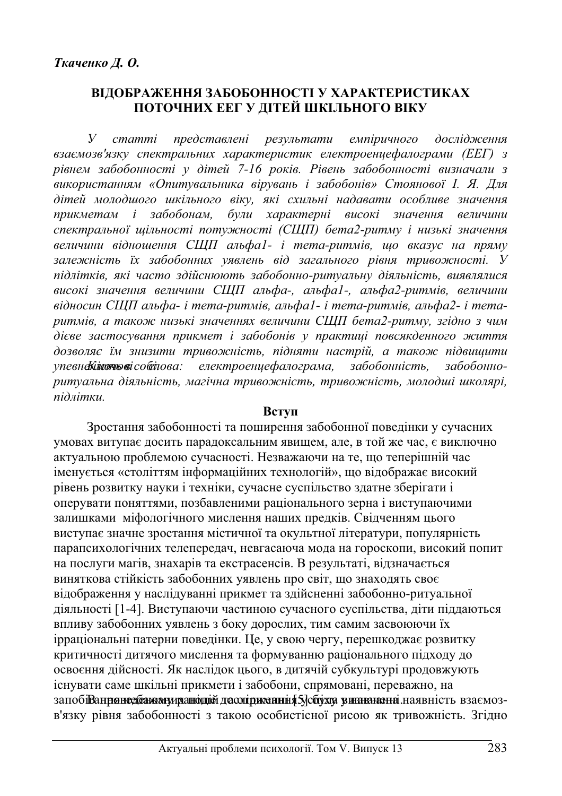# **ВІДОБРАЖЕННЯ ЗАБОБОННОСТІ У ХАРАКТЕРИСТИКАХ** ПОТОЧНИХ ЕЕГ У ДІТЕЙ ШКІЛЬНОГО ВІКУ

**У** статті представлені результати емпіричного дослідження взаємозв'язку спектральних характеристик електроенцефалограми (ЕЕГ) з  $pi$ *внем забобонності у дітей 7-16 років. Рівень забобонності визначали з* використанням «Опитувальника вірувань і забобонів» Стоянової І. Я. Для дітей молодшого шкільного віку, які схильні надавати особливе значення прикметам *і забобонам, були характерні високі значення величини* спектральної щільності потужності (СЩП) бета2-ритму і низькі значення **величини відношення СЩП альфа1- і тета-ритмів, що вказує на пряму** залежність їх забобонних уявлень від загального рівня тривожності. У підлітків, які часто здійснюють забобонно-ритуальну діяльність, виявлялися високі значення величини СЩП альфа-, альфа1-, альфа2-ритмів, величини  $\alpha$ *iдносин СЩП альфа- і тета-ритмів, альфа1- і тета-ритмів, альфа2- і тета* $pummis, a maxo$ *ж низькі значеннях величини СЩП бета2-ритму, згідно з чим* дієве застосування прикмет і забобонів у практиці повсякденного життя дозволяє їм знизити тривожність, підняти настрій, а також підвищити упевне лито вісоблюва: електроенцефалограма, забобонність, забобонно*ɪɢɬɭɚɥɶɧɚ ɞɿɹɥɶɧɿɫɬɶ, ɦɚɝɿɱɧɚ ɬɪɢɜɨɠɧɿɫɬɶ, ɬɪɢɜɨɠɧɿɫɬɶ, ɦɨɥɨɞɲɿ ɲɤɨɥɹɪɿ,*  $\vec{u}$ *λπίτηκιι* 

### **Вступ**

Зростання забобонності та поширення забобонної поведінки у сучасних умовах витупає досить парадоксальним явищем, але, в той же час, є виключно актуальною проблемою сучасності. Незважаючи на те, що теперішній час iменується «століттям iнформаційних технологій», що відображає високий рівень розвитку науки і техніки, сучасне суспільство здатне зберігати і оперувати поняттями, позбавленими раціонального зерна і виступаючими залишками міфологічного мислення наших предків. Свідченням цього виступає значне зростання містичної та окультної літератури, популярність парапсихологічних телепередач, невгасаюча мода на гороскопи, високий попит на послуги магів, знахарів та екстрасенсів. В результаті, відзначається виняткова стійкість забобонних уявлень про світ, що знаходять своє відображення у наслідуванні прикмет та здійсненні забобонно-ритуальної діяльності [1-4]. Виступаючи частиною сучасного суспільства, діти піддаються впливу забобонних уявлень з боку дорослих, тим самим засвоюючи їх ірраціональні патерни поведінки. Це, у свою чергу, перешкоджає розвитку критичності дитячого мислення та формуванню раціонального підходу до освоєння дійсності. Як наслідок цього, в дитячій субкультурі продовжують існувати саме шкільні прикмети і забобони, спрямовані, переважно, на запобіВаннянесбаю аниханодіей дасогі диманні я 5 дсбухта винанання наявність взаємозв'язку рівня забобонності з такою особистісної рисою як тривожність. Згідно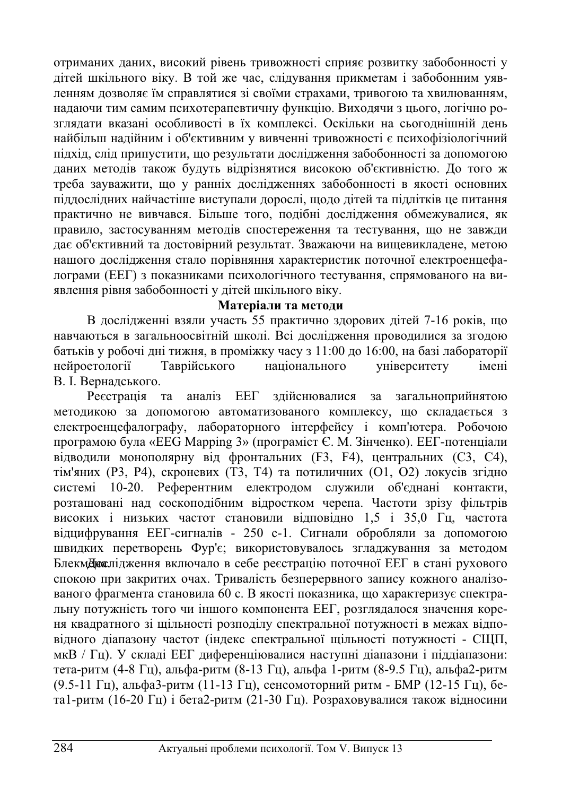отриманих даних, високий рівень тривожності сприяє розвитку забобонності у дітей шкільного віку. В той же час, слідування прикметам і забобонним уявленням дозволяє їм справлятися зі своїми страхами, тривогою та хвилюванням, надаючи тим самим психотерапевтичну функцію. Виходячи з цього, логічно розглядати вказані особливості в їх комплексі. Оскільки на сьогоднішній день найбільш надійним і об'єктивним у вивченні тривожності є психофізіологічний підхід, слід припустити, що результати дослідження забобонності за допомогою даних методів також будуть відрізнятися високою об'єктивністю. До того ж треба зауважити, що у ранніх дослідженнях забобонності в якості основних піддослідних найчастіше виступали дорослі, щодо дітей та підлітків це питання практично не вивчався. Більше того, подібні дослідження обмежувалися, як правило, застосуванням методів спостереження та тестування, що не завжди дає об'єктивний та достовірний результат. Зважаючи на вищевикладене, метою нашого дослідження стало порівняння характеристик поточної електроенцефалограми (ЕЕГ) з показниками психологічного тестування, спрямованого на виявлення рівня забобонності у дітей шкільного віку.

## Матеріали та методи

В дослідженні взяли участь 55 практично здорових дітей 7-16 років, що навчаються в загальноосвітній школі. Всі дослідження проводилися за згодою батьків у робочі дні тижня, в проміжку часу з 11:00 до 16:00, на базі лабораторії нейроетології Таврійського національного університету імені В. І. Вернадського.

Реєстрація та аналіз ЕЕГ здійснювалися за загальноприйнятою методикою за допомогою автоматизованого комплексу, що складається з електроенцефалографу, лабораторного інтерфейсу і комп'ютера. Робочою програмою була «EEG Mapping 3» (програміст Є. М. Зінченко). ЕЕГ-потенціали відводили монополярну від фронтальних (F3, F4), центральних (C3, C4), тім'яних (Р3, Р4), скроневих (Т3, Т4) та потиличних (О1, О2) локусів згідно системі 10-20. Референтним електродом служили об'єднані контакти, розташовані над соскоподібним відростком черепа. Частоти зрізу фільтрів високих і низьких частот становили відповідно 1,5 і 35,0 Гц, частота відцифрування ЕЕГ-сигналів - 250 с-1. Сигнали обробляли за допомогою швидких перетворень Фур'є; використовувалось згладжування за методом БлекмДюслідження включало в себе реєстрацію поточної ЕЕГ в стані рухового спокою при закритих очах. Тривалість безперервного запису кожного аналізованого фрагмента становила 60 с. В якості показника, що характеризує спектральну потужність того чи іншого компонента ЕЕГ, розглядалося значення кореня квадратного зі щільності розподілу спектральної потужності в межах відповідного діапазону частот (індекс спектральної щільності потужності - СЩП, мкВ / Гц). У складі ЕЕГ диференціювалися наступні діапазони і піддіапазони: тета-ритм (4-8 Гц), альфа-ритм (8-13 Гц), альфа 1-ритм (8-9.5 Гц), альфа2-ритм (9.5-11 Гц), альфа3-ритм (11-13 Гц), сенсомоторний ритм - БМР (12-15 Гц), бета1-ритм (16-20 Гц) і бета2-ритм (21-30 Гц). Розраховувалися також відносини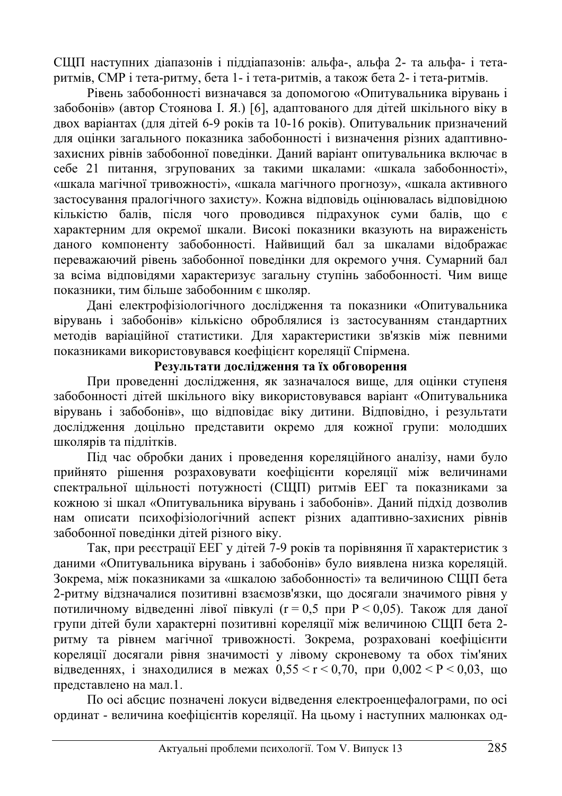СЩП наступних діапазонів і піддіапазонів: альфа-, альфа 2- та альфа- і тетаput min, CMP і тета-ритму, бета 1- і тета-ритмів, а також бета 2- і тета-ритмів.

Рівень забобонності визначався за допомогою «Опитувальника вірувань і забобонів» (автор Стоянова І. Я.) [6], адаптованого для дітей шкільного віку в двох варіантах (для дітей 6-9 років та 10-16 років). Опитувальник призначений для оцінки загального показника забобонності і визначення різних адаптивнозахисних рівнів забобонної поведінки. Даний варіант опитувальника включає в себе 21 питання, згрупованих за такими шкалами: «шкала забобонності», «шкала магічної тривожності», «шкала магічного прогнозу», «шкала активного застосування пралогічного захисту». Кожна відповідь оцінювалась відповідною хількістю балів, після чого проводився підрахунок суми балів, що є характерним для окремої шкали. Високі показники вказують на вираженість даного компоненту забобонності. Найвищий бал за шкалами відображає переважаючий рівень забобонної поведінки для окремого учня. Сумарний бал за всіма відповідями характеризує загальну ступінь забобонності. Чим вище показники, тим більше забобонним є школяр.

Дані електрофізіологічного дослідження та показники «Опитувальника вірувань і забобонів» кількісно оброблялися із застосуванням стандартних методів варіаційної статистики. Для характеристики зв'язків між певними показниками використовувався коефіцієнт кореляції Спірмена.

# Результати дослідження та їх обговорення

При проведенні дослідження, як зазначалося вище, для оцінки ступеня забобонності дітей шкільного віку використовувався варіант «Опитувальника вірувань і забобонів», що відповідає віку дитини. Відповідно, і результати дослідження доцільно представити окремо для кожної групи: молодших школярів та підлітків.

Під час обробки даних і проведення кореляційного аналізу, нами було прийнято рішення розраховувати коефіцієнти кореляції між величинами спектральної щільності потужності (СЩП) ритмів ЕЕГ та показниками за кожною зі шкал «Опитувальника вірувань і забобонів». Даний підхід дозволив нам описати психофізіологічний аспект різних адаптивно-захисних рівнів забобонної поведінки дітей різного віку.

Так, при реєстрації ЕЕГ у дітей 7-9 років та порівняння її характеристик з даними «Опитувальника вірувань і забобонів» було виявлена низка кореляцій. Зокрема, між показниками за «шкалою забобонності» та величиною СЩП бета 2-ритму відзначалися позитивні взаємозв'язки, що досягали значимого рівня у потиличному відведенні лівої півкулі ( $r = 0.5$  при  $P < 0.05$ ). Також для даної групи дітей були характерні позитивні кореляції між величиною СЩП бета 2ритму та рівнем магічної тривожності. Зокрема, розраховані коефіцієнти кореляції досягали рівня значимості у лівому скроневому та обох тім'яних відведеннях, і знаходилися в межах  $0.55 \le r \le 0.70$ , при  $0.002 \le P \le 0.03$ , що представлено на мал.1.

По осі абсцис позначені локуси вілвелення електроенцефалограми, по осі ординат - величина коефіцієнтів кореляції. На цьому і наступних малюнках од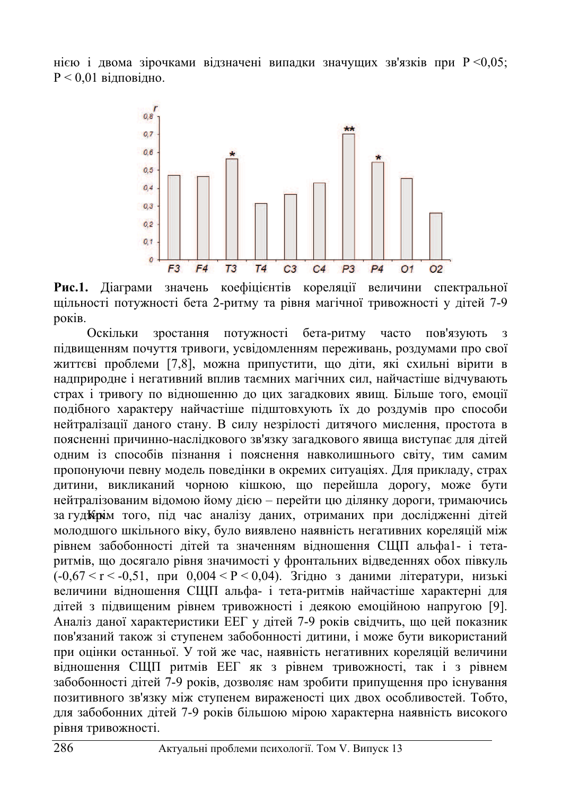нією і двома зірочками відзначені випадки значущих зв'язків при  $P \leq 0.05$ ;  $P < 0.01$  вілповілно.



Рис.1. Діаграми значень коефіцієнтів кореляції величини спектральної щільності потужності бета 2-ритму та рівня магічної тривожності у дітей 7-9 pokib.

Оскільки зростання потужності бета-ритму часто пов'язують з підвищенням почуття тривоги, усвідомленням переживань, роздумами про свої життєві проблеми [7,8], можна припустити, що діти, які схильні вірити в надприродне і негативний вплив таємних магічних сил, найчастіше відчувають страх і тривогу по відношенню до цих загадкових явищ. Більше того, емоції подібного характеру найчастіше підштовхують їх до роздумів про способи нейтралізації даного стану. В силу незрілості дитячого мислення, простота в поясненні причинно-наслідкового зв'язку загадкового явища виступає для дітей одним із способів пізнання і пояснення навколишнього світу, тим самим пропонуючи певну модель поведінки в окремих ситуаціях. Для прикладу, страх дитини, викликаний чорною кішкою, що перейшла дорогу, може бути нейтралізованим відомою йому дією – перейти цю ділянку дороги, тримаючись за гуд бита того, під час аналізу даних, отриманих при дослідженні дітей молодшого шкільного віку, було виявлено наявність негативних кореляцій між рівнем забобонності дітей та значенням відношення СЩП альфа1- і тетаритмів, що досягало рівня значимості у фронтальних відведеннях обох півкуль ( $-0.67 < r < -0.51$ , при  $0.004 < P < 0.04$ ). Згідно з даними літератури, низькі величини відношення СЩП альфа- і тета-ритмів найчастіше характерні для дітей з пілвишеним рівнем тривожності і деякою емоційною напругою [9]. Аналіз даної характеристики ЕЕГ у дітей 7-9 років свідчить, що цей показник пов'язаний також зі ступенем забобонності дитини, і може бути використаний при оцінки останньої. У той же час, наявність негативних кореляцій величини відношення СЩП ритмів ЕЕГ як з рівнем тривожності, так і з рівнем забобонності дітей 7-9 років, дозволяє нам зробити припущення про існування позитивного зв'язку між ступенем вираженості цих двох особливостей. Тобто, для забобонних дітей 7-9 років більшою мірою характерна наявність високого рівня тривожності.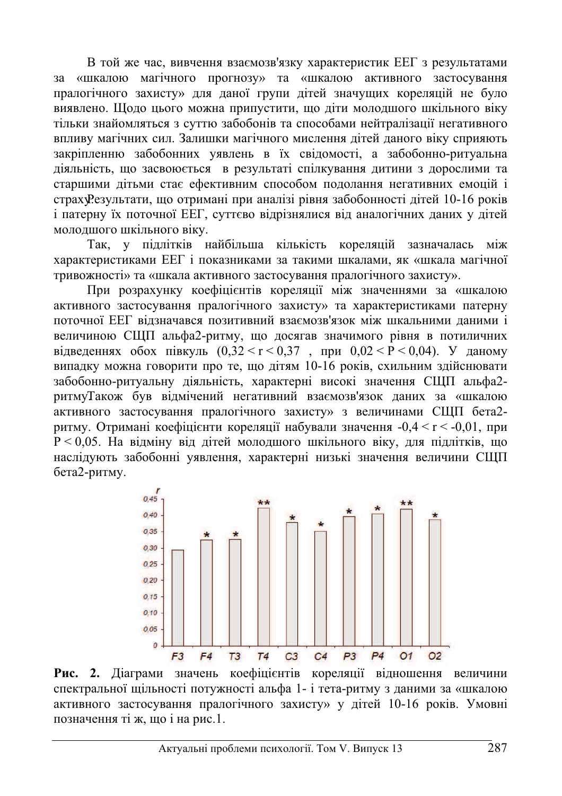В той же час, вивчення взаємозв'язку характеристик ЕЕГ з результатами за «шкалою магічного прогнозу» та «шкалою активного застосування пралогічного захисту» для даної групи дітей значущих кореляцій не було виявлено. Щодо цього можна припустити, що діти молодшого шкільного віку тільки знайомляться з суттю забобонів та способами нейтралізації негативного впливу магічних сил. Залишки магічного мислення дітей даного віку сприяють закріпленню забобонних уявлень в їх свідомості, а забобонно-ритуальна діяльність, що засвоюється в результаті спілкування дитини з дорослими та старшими дітьми стає ефективним способом подолання негативних емоцій і страху Результати, що отримані при аналізі рівня забобонності дітей 10-16 років і патерну їх поточної ЕЕГ, суттєво відрізнялися від аналогічних даних у дітей молодшого шкільного віку.

Так, у підлітків найбільша кількість кореляцій зазначалась між характеристиками ЕЕГ і показниками за такими шкалами, як «шкала магічної тривожності» та «шкала активного застосування пралогічного захисту».

При розрахунку коефіцієнтів кореляції між значеннями за «шкалою активного застосування пралогічного захисту» та характеристиками патерну поточної ЕЕГ відзначався позитивний взаємозв'язок між шкальними даними і величиною СЩП альфа2-ритму, що досягав значимого рівня в потиличних відведеннях обох півкуль  $(0,32 \le r \le 0,37$ , при  $0,02 \le P \le 0,04$ ). У даному випадку можна говорити про те, що дітям 10-16 років, схильним здійснювати забобонно-ритуальну діяльність, характерні високі значення СЩП альфа2ритмуТакож був відмічений негативний взаємозв'язок даних за «шкалою активного застосування пралогічного захисту» з величинами СШП бета2ритму. Отримані коефіцієнти кореляції набували значення  $-0.4 \le r \le -0.01$ , при  $P < 0.05$ . На відміну від дітей молодшого шкільного віку, для підлітків, що наслідують забобонні уявлення, характерні низькі значення величини СЩП бета2-ритму.



Рис. 2. Діаграми значень коефіцієнтів кореляції відношення величини спектральної шільності потужності альфа 1- і тета-ритму з даними за «шкалою активного застосування пралогічного захисту» у дітей 10-16 років. Умовні позначення ті ж. що і на рис.1.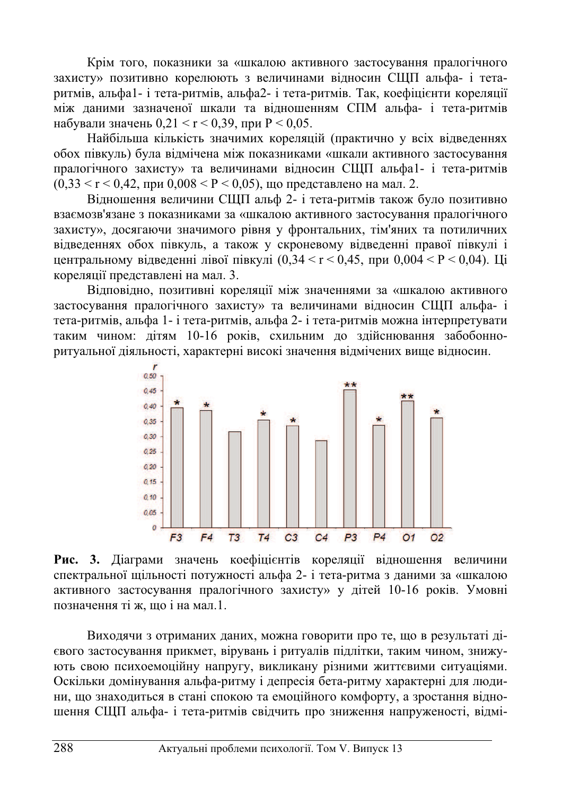Крім того, показники за «шкалою активного застосування пралогічного захисту» позитивно корелюють з величинами відносин СЩП альфа- і тетаритмів, альфа1- і тета-ритмів, альфа2- і тета-ритмів. Так, коефіцієнти кореляції між даними зазначеної шкали та відношенням СПМ альфа- і тета-ритмів набували значень  $0.21 < r < 0.39$ , при  $P < 0.05$ .

Найбільша кількість значимих кореляцій (практично у всіх відведеннях обох півкуль) була відмічена між показниками «шкали активного застосування пралогічного захисту» та величинами відносин СЩП альфа1- і тета-ритмів  $(0.33 \le r \le 0.42$ , при  $0.008 \le P \le 0.05$ ), що представлено на мал. 2.

Відношення величини СЩП альф 2- і тета-ритмів також було позитивно взаємозв'язане з показниками за «шкалою активного застосування пралогічного захисту», досягаючи значимого рівня у фронтальних, тім'яних та потиличних відведеннях обох півкуль, а також у скроневому відведенні правої півкулі і центральному відведенні лівої півкулі  $(0,34 \le r \le 0.45,$  при  $0,004 \le P \le 0.04$ ). Ці кореляції представлені на мал. 3.

Відповідно, позитивні кореляції між значеннями за «шкалою активного застосування пралогічного захисту» та величинами відносин СЩП альфа- і тета-ритмів, альфа 1- і тета-ритмів, альфа 2- і тета-ритмів можна інтерпретувати таким чином: дітям 10-16 років, схильним до здійснювання забобонноритуальної діяльності, характерні високі значення відмічених вище відносин.



Рис. 3. Діаграми значень коефіцієнтів кореляції відношення величини спектральної щільності потужності альфа 2- і тета-ритма з даними за «шкалою активного застосування пралогічного захисту» у дітей 10-16 років. Умовні позначення ті ж. що і на мал.1.

Виходячи з отриманих даних, можна говорити про те, що в результаті дієвого застосування прикмет, вірувань і ритуалів підлітки, таким чином, знижують свою психоемоційну напругу, викликану різними життєвими ситуаціями. Оскільки домінування альфа-ритму і депресія бета-ритму характерні для людини, що знаходиться в стані спокою та емоційного комфорту, а зростання відношення СЩП альфа- і тета-ритмів свідчить про зниження напруженості, відмі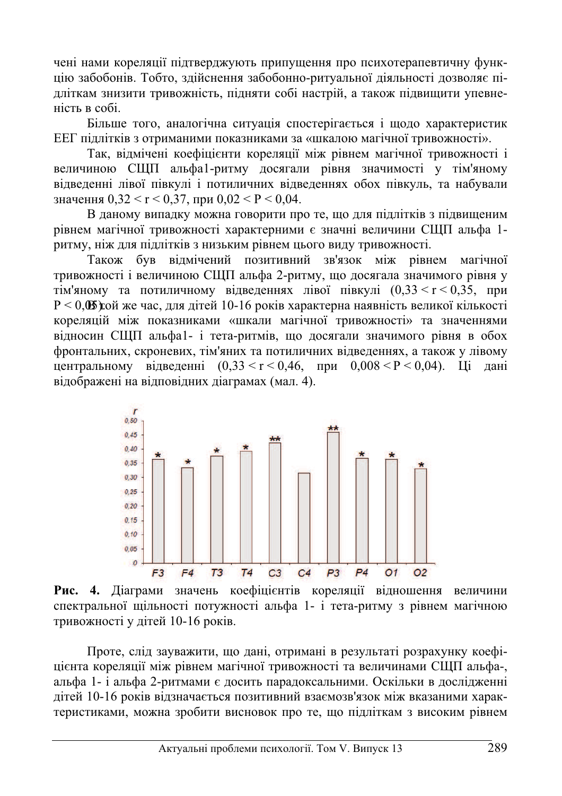чені нами кореляції підтверджують припущення про психотерапевтичну функцію забобонів. Тобто, здійснення забобонно-ритуальної діяльності дозволяє підліткам знизити тривожність, підняти собі настрій, а також підвищити упевненість в собі.

Більше того, аналогічна ситуація спостерігається і щодо характеристик ЕЕГ підлітків з отриманими показниками за «шкалою магічної тривожності».

Так, відмічені коефіцієнти кореляції між рівнем магічної тривожності і величиною СЩП альфа1-ритму досягали рівня значимості у тім'яному відведенні лівої півкулі і потиличних відведеннях обох півкуль, та набували значення  $0,32 \le r \le 0,37$ , при  $0,02 \le P \le 0,04$ .

В даному випадку можна говорити про те, що для підлітків з підвищеним рівнем магічної тривожності характерними є значні величини СЩП альфа 1ритму, ніж для підлітків з низьким рівнем цього виду тривожності.

Також був вілмічений позитивний зв'язок між рівнем магічної тривожності і величиною СШП альфа 2-ритму, що досягала значимого рівня у тім'яному та потиличному відведеннях лівої півкулі  $(0,33 \le r \le 0,35, n$ ри  $P < 0$ , В той же час, для дітей 10-16 років характерна наявність великої кількості кореляцій між показниками «шкали магічної тривожності» та значеннями відносин СЩП альфа1- і тета-ритмів, що досягали значимого рівня в обох фронтальних, скроневих, тім'яних та потиличних відведеннях, а також у лівому центральному відведенні  $(0,33 \le r \le 0,46, \text{ при } 0,008 \le P \le 0,04)$ . Ці дані відображені на відповідних діаграмах (мал. 4).



Рис. 4. Діаграми значень коефіцієнтів кореляції відношення величини спектральної щільності потужності альфа 1- і тета-ритму з рівнем магічною тривожності у дітей 10-16 років.

Проте, слід зауважити, що дані, отримані в результаті розрахунку коефіцієнта кореляції між рівнем магічної тривожності та величинами СЩП альфа-, альфа 1- і альфа 2-ритмами є досить парадоксальними. Оскільки в дослідженні дітей 10-16 років відзначається позитивний взаємозв'язок між вказаними характеристиками, можна зробити висновок про те, що підліткам з високим рівнем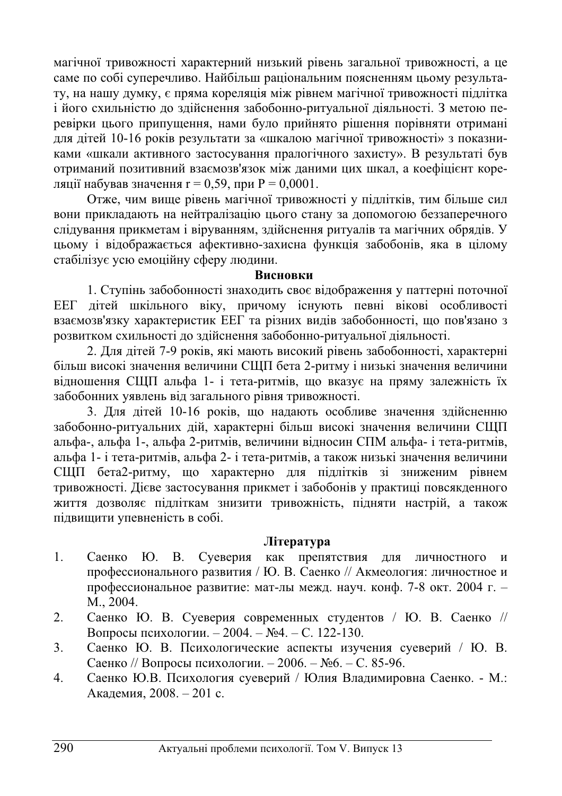магічної тривожності характерний низький рівень загальної тривожності, а це саме по собі суперечливо. Найбільш раціональним поясненням цьому результату, на нашу думку, є пряма кореляція між рівнем магічної тривожності підлітка і його схильністю до здійснення забобонно-ритуальної діяльності. З метою перевірки цього припущення, нами було прийнято рішення порівняти отримані для дітей 10-16 років результати за «шкалою магічної тривожності» з показниками «шкали активного застосування пралогічного захисту». В результаті був отриманий позитивний взаємозв'язок між даними цих шкал, а коефіцієнт кореляції набував значення  $r = 0.59$ , при  $P = 0,0001$ .

Отже, чим вище рівень магічної тривожності у підлітків, тим більше сил вони прикладають на нейтралізацію цього стану за допомогою беззаперечного слідування прикметам і віруванням, здійснення ритуалів та магічних обрядів. У цьому і відображається афективно-захисна функція забобонів, яка в цілому стабілізує усю емоційну сферу людини.

## **Висновки**

1. Ступінь забобонності знаходить своє відображення у паттерні поточної ЕЕГ дітей шкільного віку, причому існують певні вікові особливості взаємозв'язку характеристик ЕЕГ та різних видів забобонності, що пов'язано з розвитком схильності до здійснення забобонно-ритуальної діяльності.

2. Для дітей 7-9 років, які мають високий рівень забобонності, характерні більш високі значення величини СЩП бета 2-ритму і низькі значення величини відношення СЩП альфа 1- і тета-ритмів, що вказує на пряму залежність їх забобонних уявлень від загального рівня тривожності.

3. Для дітей 10-16 років, що надають особливе значення здійсненню забобонно-ритуальних дій, характерні більш високі значення величини СЩП альфа-, альфа 1-, альфа 2-ритмів, величини відносин СПМ альфа- і тета-ритмів, альфа 1- і тета-ритмів, альфа 2- і тета-ритмів, а також низькі значення величини СЩП бета2-ритму, що характерно для підлітків зі зниженим рівнем тривожності. Дієве застосування прикмет і забобонів у практиці повсякденного життя дозволяє підліткам знизити тривожність, підняти настрій, а також підвищити упевненість в собі.

### **Ʌɿɬɟɪɚɬɭɪɚ**

- 1. Саенко Ю. В. Суеверия как препятствия для личностного и профессионального развития / Ю. В. Саенко // Акмеология: личностное и профессиональное развитие: мат-лы межд. науч. конф. 7-8 окт. 2004 г. – M., 2004.
- 2. Саенко Ю. В. Суеверия современных студентов / Ю. В. Саенко // Вопросы психологии. – 2004. –  $N_2$ 4. – С. 122-130.
- 3. Саенко Ю. В. Психологические аспекты изучения суеверий / Ю. В. Саенко // Вопросы психологии. – 2006. –  $N_2$ 6. – С. 85-96.
- 4. Саенко Ю.В. Психология суеверий / Юлия Владимировна Саенко. М.: Академия, 2008. – 201 с.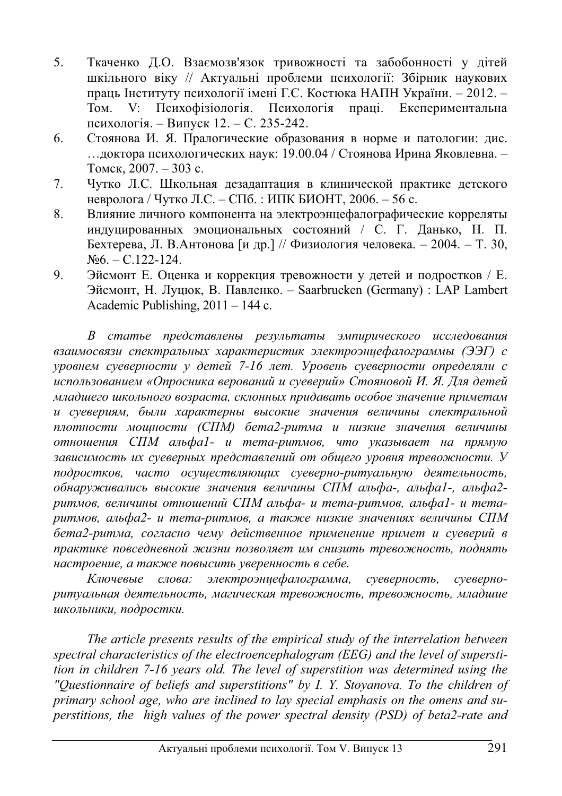- 5. Ткаченко Д.О. Взаємозв'язок тривожності та забобонності у дітей шкільного віку // Актуальні проблеми психології: Збірник наукових праць Інституту психології імені Г.С. Костюка НАПН України. – 2012. – Том. V: Психофізіологія. Психологія праці. Експериментальна психологія. – Випуск 12. – С. 235-242.
- 6. Стоянова И. Я. Пралогические образования в норме и патологии: дис. ... доктора психологических наук: 19.00.04 / Стоянова Ирина Яковлевна. – Томск, 2007. – 303 с.
- 7. Чутко Л.С. Школьная дезадаптация в клинической практике детского невролога / Чутко Л.С. – СПб. : ИПК БИОНТ, 2006. – 56 с.
- 8. Влияние личного компонента на электроэнцефалографические корреляты индуцированных эмоциональных состояний / С. Г. Данько, Н. П. Бехтерева, Л. В.Антонова [и др.] // Физиология человека. – 2004. – Т. 30,  $N_96. - C.122-124.$
- 9. Эйсмонт Е. Оценка и коррекция тревожности у детей и подростков / Е. Эйсмонт, Н. Луцюк, В. Павленко. – Saarbrucken (Germany) : LAP Lambert Academic Publishing, 2011 – 144 c.

В статье представлены результаты эмпирического исследования  $\alpha$ *взаимосвязи спектральных характеристик электроэнцефалограммы (ЭЭГ) с* уровнем суеверности у детей 7-16 лет. Уровень суеверности определяли с  $\mu$ спользованием «Опросника верований и суеверий» Стояновой И. Я. Для детей младшего школьного возраста, склонных придавать особое значение приметам и суевериям, были характерны высокие значения величины спектральной плотности мощности (СПМ) бета2-ритма и низкие значения величины **утношения СПМ альфа1- и тета-ритмов, что указывает на прямую** зависимость их суеверных представлений от общего уровня тревожности. У лодростков, часто осуществляющих суеверно-ритуальную деятельность,  $\delta$ бнаруживались высокие значения величины СПМ альфа-, альфа1-, альфа2 $pummo$ в, величины отношений СПМ альфа- и тета-ритмов, альфа1- и тета $pummo$ , альфа2- и тета-ритмов, а также низкие значениях величины СПМ бета2-ритма, согласно чему действенное применение примет и суеверий в практике повседневной жизни позволяет им снизить тревожность, поднять *ɧɚɫɬɪɨɟɧɢɟ, ɚ ɬɚɤɠɟ ɩɨɜɵɫɢɬɶ ɭɜɟɪɟɧɧɨɫɬɶ ɜ ɫɟɛɟ.*

*Ʉɥɸɱɟɜɵɟ ɫɥɨɜɚ: ɷɥɟɤɬɪɨɷɧɰɟɮɚɥɨɝɪɚɦɦɚ, ɫɭɟɜɟɪɧɨɫɬɶ, ɫɭɟɜɟɪɧɨ* $pumya\pi$ ьная деятельность, магическая тревожность, тревожность, младшие  $uko$ льники, подростки.

*The article presents results of the empirical study of the interrelation between spectral characteristics of the electroencephalogram (EEG) and the level of superstition in children 7-16 years old. The level of superstition was determined using the "Questionnaire of beliefs and superstitions" by I. Y. Stoyanova. To the children of primary school age, who are inclined to lay special emphasis on the omens and superstitions, the high values of the power spectral density (PSD) of beta2-rate and*